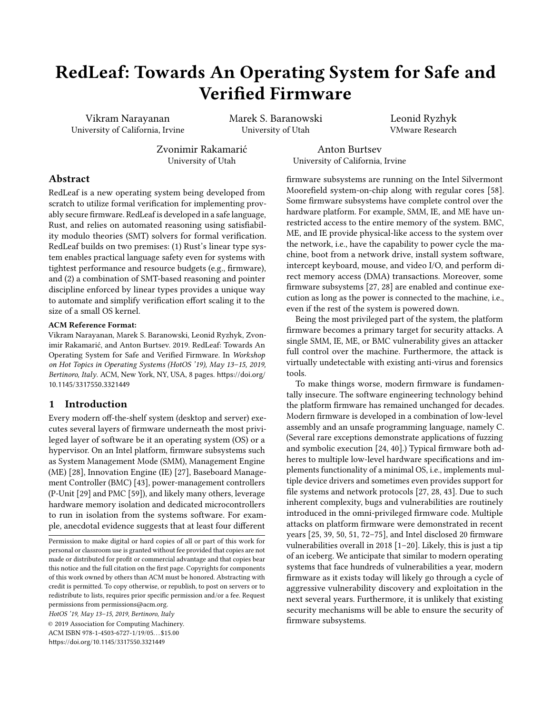# RedLeaf: Towards An Operating System for Safe and Verified Firmware

Vikram Narayanan University of California, Irvine Marek S. Baranowski University of Utah

Leonid Ryzhyk VMware Research

Zvonimir Rakamarić University of Utah

Anton Burtsev University of California, Irvine

# Abstract

RedLeaf is a new operating system being developed from scratch to utilize formal verification for implementing provably secure firmware. RedLeaf is developed in a safe language, Rust, and relies on automated reasoning using satisfiability modulo theories (SMT) solvers for formal verification. RedLeaf builds on two premises: (1) Rust's linear type system enables practical language safety even for systems with tightest performance and resource budgets (e.g., firmware), and (2) a combination of SMT-based reasoning and pointer discipline enforced by linear types provides a unique way to automate and simplify verification effort scaling it to the size of a small OS kernel.

#### ACM Reference Format:

Vikram Narayanan, Marek S. Baranowski, Leonid Ryzhyk, Zvonimir Rakamarić, and Anton Burtsev. 2019. RedLeaf: Towards An Operating System for Safe and Verified Firmware. In Workshop on Hot Topics in Operating Systems (HotOS '19), May 13–15, 2019, Bertinoro, Italy. ACM, New York, NY, USA, [8](#page-7-0) pages. [https://doi.org/](https://doi.org/10.1145/3317550.3321449) [10.1145/3317550.3321449](https://doi.org/10.1145/3317550.3321449)

## 1 Introduction

Every modern off-the-shelf system (desktop and server) executes several layers of firmware underneath the most privileged layer of software be it an operating system (OS) or a hypervisor. On an Intel platform, firmware subsystems such as System Management Mode (SMM), Management Engine (ME) [\[28\]](#page-6-0), Innovation Engine (IE) [\[27\]](#page-6-1), Baseboard Management Controller (BMC) [\[43\]](#page-6-2), power-management controllers (P-Unit [\[29\]](#page-6-3) and PMC [\[59\]](#page-7-1)), and likely many others, leverage hardware memory isolation and dedicated microcontrollers to run in isolation from the systems software. For example, anecdotal evidence suggests that at least four different

Permission to make digital or hard copies of all or part of this work for personal or classroom use is granted without fee provided that copies are not made or distributed for profit or commercial advantage and that copies bear this notice and the full citation on the first page. Copyrights for components of this work owned by others than ACM must be honored. Abstracting with credit is permitted. To copy otherwise, or republish, to post on servers or to redistribute to lists, requires prior specific permission and/or a fee. Request permissions from permissions@acm.org.

HotOS '19, May 13–15, 2019, Bertinoro, Italy

© 2019 Association for Computing Machinery. ACM ISBN 978-1-4503-6727-1/19/05. . . \$15.00 <https://doi.org/10.1145/3317550.3321449>

firmware subsystems are running on the Intel Silvermont Moorefield system-on-chip along with regular cores [\[58\]](#page-7-2). Some firmware subsystems have complete control over the hardware platform. For example, SMM, IE, and ME have unrestricted access to the entire memory of the system. BMC, ME, and IE provide physical-like access to the system over the network, i.e., have the capability to power cycle the machine, boot from a network drive, install system software, intercept keyboard, mouse, and video I/O, and perform direct memory access (DMA) transactions. Moreover, some firmware subsystems [\[27,](#page-6-1) [28\]](#page-6-0) are enabled and continue execution as long as the power is connected to the machine, i.e., even if the rest of the system is powered down.

Being the most privileged part of the system, the platform firmware becomes a primary target for security attacks. A single SMM, IE, ME, or BMC vulnerability gives an attacker full control over the machine. Furthermore, the attack is virtually undetectable with existing anti-virus and forensics tools.

To make things worse, modern firmware is fundamentally insecure. The software engineering technology behind the platform firmware has remained unchanged for decades. Modern firmware is developed in a combination of low-level assembly and an unsafe programming language, namely C. (Several rare exceptions demonstrate applications of fuzzing and symbolic execution [\[24,](#page-6-4) [40\]](#page-6-5).) Typical firmware both adheres to multiple low-level hardware specifications and implements functionality of a minimal OS, i.e., implements multiple device drivers and sometimes even provides support for file systems and network protocols [\[27,](#page-6-1) [28,](#page-6-0) [43\]](#page-6-2). Due to such inherent complexity, bugs and vulnerabilities are routinely introduced in the omni-privileged firmware code. Multiple attacks on platform firmware were demonstrated in recent years [\[25,](#page-6-6) [39,](#page-6-7) [50,](#page-7-3) [51,](#page-7-4) [72–](#page-7-5)[75\]](#page-7-6), and Intel disclosed 20 firmware vulnerabilities overall in 2018 [\[1–](#page-5-0)[20\]](#page-6-8). Likely, this is just a tip of an iceberg. We anticipate that similar to modern operating systems that face hundreds of vulnerabilities a year, modern firmware as it exists today will likely go through a cycle of aggressive vulnerability discovery and exploitation in the next several years. Furthermore, it is unlikely that existing security mechanisms will be able to ensure the security of firmware subsystems.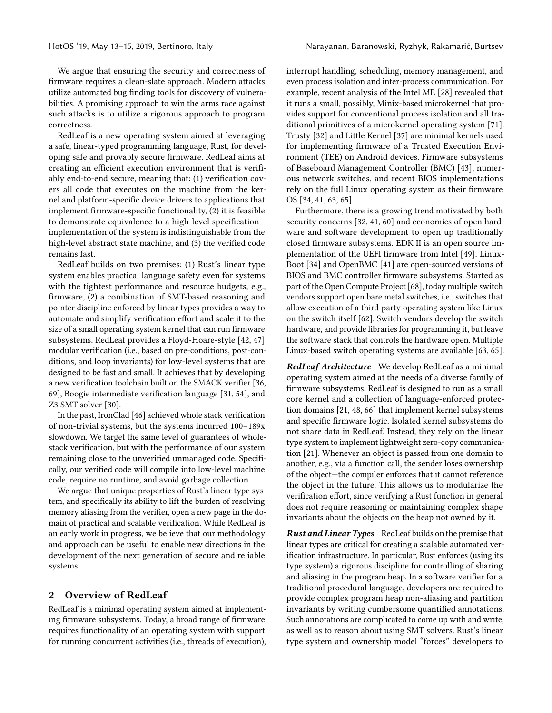We argue that ensuring the security and correctness of firmware requires a clean-slate approach. Modern attacks utilize automated bug finding tools for discovery of vulnerabilities. A promising approach to win the arms race against such attacks is to utilize a rigorous approach to program correctness.

RedLeaf is a new operating system aimed at leveraging a safe, linear-typed programming language, Rust, for developing safe and provably secure firmware. RedLeaf aims at creating an efficient execution environment that is verifiably end-to-end secure, meaning that: (1) verification covers all code that executes on the machine from the kernel and platform-specific device drivers to applications that implement firmware-specific functionality, (2) it is feasible to demonstrate equivalence to a high-level specification implementation of the system is indistinguishable from the high-level abstract state machine, and (3) the verified code remains fast.

RedLeaf builds on two premises: (1) Rust's linear type system enables practical language safety even for systems with the tightest performance and resource budgets, e.g., firmware, (2) a combination of SMT-based reasoning and pointer discipline enforced by linear types provides a way to automate and simplify verification effort and scale it to the size of a small operating system kernel that can run firmware subsystems. RedLeaf provides a Floyd-Hoare-style [\[42,](#page-6-9) [47\]](#page-6-10) modular verification (i.e., based on pre-conditions, post-conditions, and loop invariants) for low-level systems that are designed to be fast and small. It achieves that by developing a new verification toolchain built on the SMACK verifier [\[36,](#page-6-11) [69\]](#page-7-7), Boogie intermediate verification language [\[31,](#page-6-12) [54\]](#page-7-8), and Z3 SMT solver [\[30\]](#page-6-13).

In the past, IronClad [\[46\]](#page-6-14) achieved whole stack verification of non-trivial systems, but the systems incurred 100–189x slowdown. We target the same level of guarantees of wholestack verification, but with the performance of our system remaining close to the unverified unmanaged code. Specifically, our verified code will compile into low-level machine code, require no runtime, and avoid garbage collection.

We argue that unique properties of Rust's linear type system, and specifically its ability to lift the burden of resolving memory aliasing from the verifier, open a new page in the domain of practical and scalable verification. While RedLeaf is an early work in progress, we believe that our methodology and approach can be useful to enable new directions in the development of the next generation of secure and reliable systems.

# 2 Overview of RedLeaf

RedLeaf is a minimal operating system aimed at implementing firmware subsystems. Today, a broad range of firmware requires functionality of an operating system with support for running concurrent activities (i.e., threads of execution),

interrupt handling, scheduling, memory management, and even process isolation and inter-process communication. For example, recent analysis of the Intel ME [\[28\]](#page-6-0) revealed that it runs a small, possibly, Minix-based microkernel that provides support for conventional process isolation and all traditional primitives of a microkernel operating system [\[71\]](#page-7-9). Trusty [\[32\]](#page-6-15) and Little Kernel [\[37\]](#page-6-16) are minimal kernels used for implementing firmware of a Trusted Execution Environment (TEE) on Android devices. Firmware subsystems of Baseboard Management Controller (BMC) [\[43\]](#page-6-2), numerous network switches, and recent BIOS implementations rely on the full Linux operating system as their firmware OS [\[34,](#page-6-17) [41,](#page-6-18) [63,](#page-7-10) [65\]](#page-7-11).

Furthermore, there is a growing trend motivated by both security concerns [\[32,](#page-6-15) [41,](#page-6-18) [60\]](#page-7-12) and economics of open hardware and software development to open up traditionally closed firmware subsystems. EDK II is an open source implementation of the UEFI firmware from Intel [\[49\]](#page-7-13). Linux-Boot [\[34\]](#page-6-17) and OpenBMC [\[41\]](#page-6-18) are open-sourced versions of BIOS and BMC controller firmware subsystems. Started as part of the Open Compute Project [\[68\]](#page-7-14), today multiple switch vendors support open bare metal switches, i.e., switches that allow execution of a third-party operating system like Linux on the switch itself [\[62\]](#page-7-15). Switch vendors develop the switch hardware, and provide libraries for programming it, but leave the software stack that controls the hardware open. Multiple Linux-based switch operating systems are available [\[63,](#page-7-10) [65\]](#page-7-11).

RedLeaf Architecture We develop RedLeaf as a minimal operating system aimed at the needs of a diverse family of firmware subsystems. RedLeaf is designed to run as a small core kernel and a collection of language-enforced protection domains [\[21,](#page-6-19) [48,](#page-6-20) [66\]](#page-7-16) that implement kernel subsystems and specific firmware logic. Isolated kernel subsystems do not share data in RedLeaf. Instead, they rely on the linear type system to implement lightweight zero-copy communication [\[21\]](#page-6-19). Whenever an object is passed from one domain to another, e.g., via a function call, the sender loses ownership of the object—the compiler enforces that it cannot reference the object in the future. This allows us to modularize the verification effort, since verifying a Rust function in general does not require reasoning or maintaining complex shape invariants about the objects on the heap not owned by it.

Rust and Linear Types RedLeaf builds on the premise that linear types are critical for creating a scalable automated verification infrastructure. In particular, Rust enforces (using its type system) a rigorous discipline for controlling of sharing and aliasing in the program heap. In a software verifier for a traditional procedural language, developers are required to provide complex program heap non-aliasing and partition invariants by writing cumbersome quantified annotations. Such annotations are complicated to come up with and write, as well as to reason about using SMT solvers. Rust's linear type system and ownership model "forces" developers to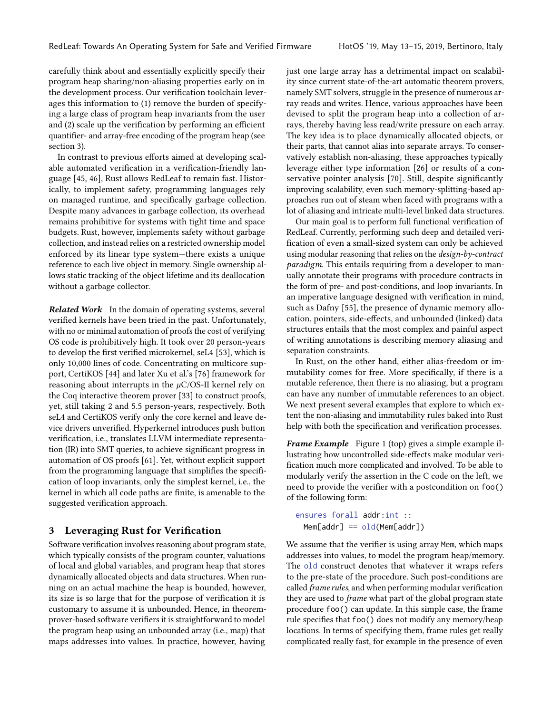carefully think about and essentially explicitly specify their program heap sharing/non-aliasing properties early on in the development process. Our verification toolchain leverages this information to (1) remove the burden of specifying a large class of program heap invariants from the user and (2) scale up the verification by performing an efficient quantifier- and array-free encoding of the program heap (see [section 3\)](#page-2-0).

In contrast to previous efforts aimed at developing scalable automated verification in a verification-friendly language [\[45,](#page-6-21) [46\]](#page-6-14), Rust allows RedLeaf to remain fast. Historically, to implement safety, programming languages rely on managed runtime, and specifically garbage collection. Despite many advances in garbage collection, its overhead remains prohibitive for systems with tight time and space budgets. Rust, however, implements safety without garbage collection, and instead relies on a restricted ownership model enforced by its linear type system—there exists a unique reference to each live object in memory. Single ownership allows static tracking of the object lifetime and its deallocation without a garbage collector.

Related Work In the domain of operating systems, several verified kernels have been tried in the past. Unfortunately, with no or minimal automation of proofs the cost of verifying OS code is prohibitively high. It took over 20 person-years to develop the first verified microkernel, seL4 [\[53\]](#page-7-17), which is only 10,000 lines of code. Concentrating on multicore support, CertiKOS [\[44\]](#page-6-22) and later Xu et al.'s [\[76\]](#page-7-18) framework for reasoning about interrupts in the  $\mu$ C/OS-II kernel rely on the Coq interactive theorem prover [\[33\]](#page-6-23) to construct proofs, yet, still taking 2 and 5.5 person-years, respectively. Both seL4 and CertiKOS verify only the core kernel and leave device drivers unverified. Hyperkernel introduces push button verification, i.e., translates LLVM intermediate representation (IR) into SMT queries, to achieve significant progress in automation of OS proofs [\[61\]](#page-7-19). Yet, without explicit support from the programming language that simplifies the specification of loop invariants, only the simplest kernel, i.e., the kernel in which all code paths are finite, is amenable to the suggested verification approach.

#### <span id="page-2-0"></span>3 Leveraging Rust for Verification

Software verification involves reasoning about program state, which typically consists of the program counter, valuations of local and global variables, and program heap that stores dynamically allocated objects and data structures. When running on an actual machine the heap is bounded, however, its size is so large that for the purpose of verification it is customary to assume it is unbounded. Hence, in theoremprover-based software verifiers it is straightforward to model the program heap using an unbounded array (i.e., map) that maps addresses into values. In practice, however, having

just one large array has a detrimental impact on scalability since current state-of-the-art automatic theorem provers, namely SMT solvers, struggle in the presence of numerous array reads and writes. Hence, various approaches have been devised to split the program heap into a collection of arrays, thereby having less read/write pressure on each array. The key idea is to place dynamically allocated objects, or their parts, that cannot alias into separate arrays. To conservatively establish non-aliasing, these approaches typically leverage either type information [\[26\]](#page-6-24) or results of a conservative pointer analysis [\[70\]](#page-7-20). Still, despite significantly improving scalability, even such memory-splitting-based approaches run out of steam when faced with programs with a lot of aliasing and intricate multi-level linked data structures.

Our main goal is to perform full functional verification of RedLeaf. Currently, performing such deep and detailed verification of even a small-sized system can only be achieved using modular reasoning that relies on the *design-by-contract* paradigm. This entails requiring from a developer to manually annotate their programs with procedure contracts in the form of pre- and post-conditions, and loop invariants. In an imperative language designed with verification in mind, such as Dafny [\[55\]](#page-7-21), the presence of dynamic memory allocation, pointers, side-effects, and unbounded (linked) data structures entails that the most complex and painful aspect of writing annotations is describing memory aliasing and separation constraints.

In Rust, on the other hand, either alias-freedom or immutability comes for free. More specifically, if there is a mutable reference, then there is no aliasing, but a program can have any number of immutable references to an object. We next present several examples that explore to which extent the non-aliasing and immutability rules baked into Rust help with both the specification and verification processes.

**Frame Example** Figure [1](#page-3-0) (top) gives a simple example illustrating how uncontrolled side-effects make modular verification much more complicated and involved. To be able to modularly verify the assertion in the C code on the left, we need to provide the verifier with a postcondition on foo() of the following form:

ensures forall addr:int ::  $Mem[addr] == old(Mem[addr])$ 

We assume that the verifier is using array Mem, which maps addresses into values, to model the program heap/memory. The old construct denotes that whatever it wraps refers to the pre-state of the procedure. Such post-conditions are called frame rules, and when performing modular verification they are used to frame what part of the global program state procedure foo() can update. In this simple case, the frame rule specifies that foo() does not modify any memory/heap locations. In terms of specifying them, frame rules get really complicated really fast, for example in the presence of even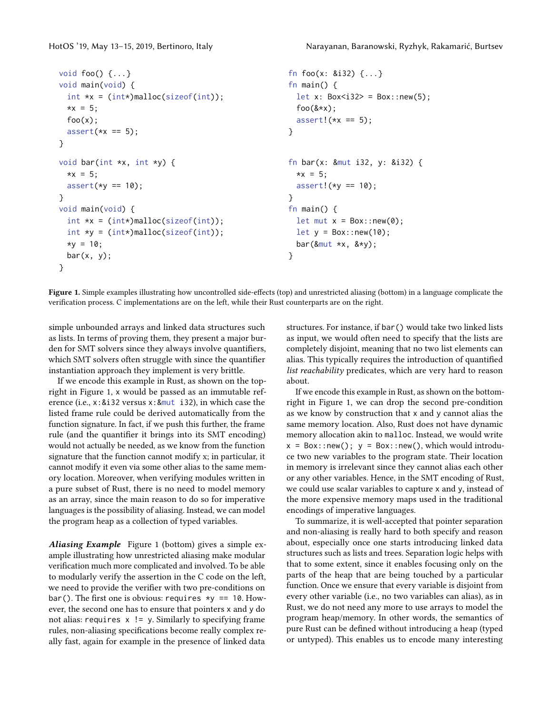```
void foo() {...}
void main(void) {
 int *x = (int*)malloc(sizeof(int));
 *x = 5;foo(x);assert(*x == 5);}
                                                     fn foo(x: &i32) {...}
                                                     fn main() {
                                                       let x: Box<i32> = Box::new(5);
                                                       foo(&*x);
                                                       assert!(*x == 5);}
void bar(int *x, int *y) {
 *x = 5:
 assert(*y == 10);
}
void main(void) {
 int *x = (int*)malloc(sizeof(int));
 int *y = (int*)malloc(sizeof(int));
 *v = 10;
 bar(x, y);
}
                                                     fn bar(x: &mut i32, y: &i32) {
                                                       *x = 5;
                                                       assert!(*v == 10);}
                                                     fn main() {
                                                       let mut x = Box::new(0);let y = Box::new(10);bar(\&text{mut } *x, \&*y);
                                                     }
```
Figure 1. Simple examples illustrating how uncontrolled side-effects (top) and unrestricted aliasing (bottom) in a language complicate the verification process. C implementations are on the left, while their Rust counterparts are on the right.

simple unbounded arrays and linked data structures such as lists. In terms of proving them, they present a major burden for SMT solvers since they always involve quantifiers, which SMT solvers often struggle with since the quantifier instantiation approach they implement is very brittle.

If we encode this example in Rust, as shown on the topright in Figure [1,](#page-3-0) x would be passed as an immutable reference (i.e., x:&i32 versus x:&mut i32), in which case the listed frame rule could be derived automatically from the function signature. In fact, if we push this further, the frame rule (and the quantifier it brings into its SMT encoding) would not actually be needed, as we know from the function signature that the function cannot modify x; in particular, it cannot modify it even via some other alias to the same memory location. Moreover, when verifying modules written in a pure subset of Rust, there is no need to model memory as an array, since the main reason to do so for imperative languages is the possibility of aliasing. Instead, we can model the program heap as a collection of typed variables.

Aliasing Example Figure [1](#page-3-0) (bottom) gives a simple example illustrating how unrestricted aliasing make modular verification much more complicated and involved. To be able to modularly verify the assertion in the C code on the left, we need to provide the verifier with two pre-conditions on bar(). The first one is obvious: requires  $*y == 10$ . However, the second one has to ensure that pointers x and y do not alias: requires x != y. Similarly to specifying frame rules, non-aliasing specifications become really complex really fast, again for example in the presence of linked data

structures. For instance, if bar() would take two linked lists as input, we would often need to specify that the lists are completely disjoint, meaning that no two list elements can alias. This typically requires the introduction of quantified list reachability predicates, which are very hard to reason about.

If we encode this example in Rust, as shown on the bottomright in Figure [1,](#page-3-0) we can drop the second pre-condition as we know by construction that x and y cannot alias the same memory location. Also, Rust does not have dynamic memory allocation akin to malloc. Instead, we would write  $x = Box::new()$ ;  $y = Box::new()$ , which would introduce two new variables to the program state. Their location in memory is irrelevant since they cannot alias each other or any other variables. Hence, in the SMT encoding of Rust, we could use scalar variables to capture x and y, instead of the more expensive memory maps used in the traditional encodings of imperative languages.

To summarize, it is well-accepted that pointer separation and non-aliasing is really hard to both specify and reason about, especially once one starts introducing linked data structures such as lists and trees. Separation logic helps with that to some extent, since it enables focusing only on the parts of the heap that are being touched by a particular function. Once we ensure that every variable is disjoint from every other variable (i.e., no two variables can alias), as in Rust, we do not need any more to use arrays to model the program heap/memory. In other words, the semantics of pure Rust can be defined without introducing a heap (typed or untyped). This enables us to encode many interesting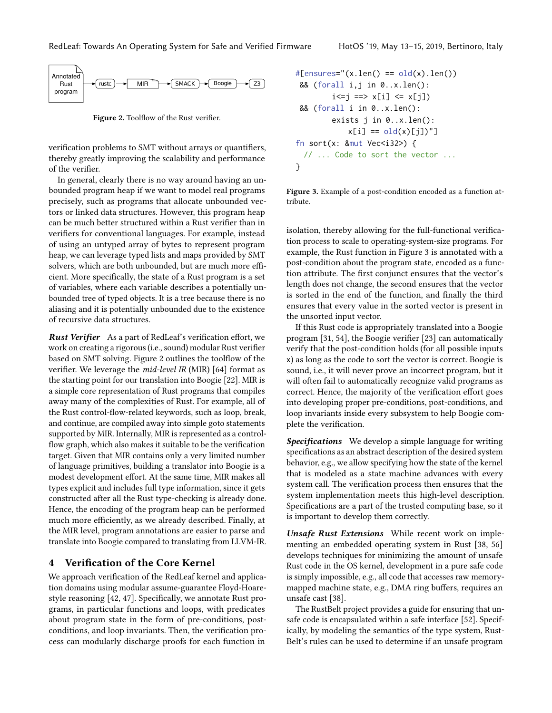<span id="page-4-0"></span>

Figure 2. Toolflow of the Rust verifier.

verification problems to SMT without arrays or quantifiers, thereby greatly improving the scalability and performance of the verifier.

In general, clearly there is no way around having an unbounded program heap if we want to model real programs precisely, such as programs that allocate unbounded vectors or linked data structures. However, this program heap can be much better structured within a Rust verifier than in verifiers for conventional languages. For example, instead of using an untyped array of bytes to represent program heap, we can leverage typed lists and maps provided by SMT solvers, which are both unbounded, but are much more efficient. More specifically, the state of a Rust program is a set of variables, where each variable describes a potentially unbounded tree of typed objects. It is a tree because there is no aliasing and it is potentially unbounded due to the existence of recursive data structures.

Rust Verifier As a part of RedLeaf's verification effort, we work on creating a rigorous (i.e., sound) modular Rust verifier based on SMT solving. Figure [2](#page-4-0) outlines the toolflow of the verifier. We leverage the mid-level IR (MIR) [\[64\]](#page-7-22) format as the starting point for our translation into Boogie [\[22\]](#page-6-25). MIR is a simple core representation of Rust programs that compiles away many of the complexities of Rust. For example, all of the Rust control-flow-related keywords, such as loop, break, and continue, are compiled away into simple goto statements supported by MIR. Internally, MIR is represented as a controlflow graph, which also makes it suitable to be the verification target. Given that MIR contains only a very limited number of language primitives, building a translator into Boogie is a modest development effort. At the same time, MIR makes all types explicit and includes full type information, since it gets constructed after all the Rust type-checking is already done. Hence, the encoding of the program heap can be performed much more efficiently, as we already described. Finally, at the MIR level, program annotations are easier to parse and translate into Boogie compared to translating from LLVM-IR.

## 4 Verification of the Core Kernel

We approach verification of the RedLeaf kernel and application domains using modular assume-guarantee Floyd-Hoarestyle reasoning [\[42,](#page-6-9) [47\]](#page-6-10). Specifically, we annotate Rust programs, in particular functions and loops, with predicates about program state in the form of pre-conditions, postconditions, and loop invariants. Then, the verification process can modularly discharge proofs for each function in

```
#[ensures="(x.length) == old(x).len()&& (forall i,j in 0..x.len():
        i<=j ==> x[i] <= x[j])&& (forall i in 0..x.len():
        exists j in 0..x.len():
           x[i] == old(x)[j])"]
fn sort(x: 8mut Vec<i32>) {
 // ... Code to sort the vector ...
}
```
Figure 3. Example of a post-condition encoded as a function attribute.

isolation, thereby allowing for the full-functional verification process to scale to operating-system-size programs. For example, the Rust function in [Figure 3](#page-4-1) is annotated with a post-condition about the program state, encoded as a function attribute. The first conjunct ensures that the vector's length does not change, the second ensures that the vector is sorted in the end of the function, and finally the third ensures that every value in the sorted vector is present in the unsorted input vector.

If this Rust code is appropriately translated into a Boogie program [\[31,](#page-6-12) [54\]](#page-7-8), the Boogie verifier [\[23\]](#page-6-26) can automatically verify that the post-condition holds (for all possible inputs x) as long as the code to sort the vector is correct. Boogie is sound, i.e., it will never prove an incorrect program, but it will often fail to automatically recognize valid programs as correct. Hence, the majority of the verification effort goes into developing proper pre-conditions, post-conditions, and loop invariants inside every subsystem to help Boogie complete the verification.

**Specifications** We develop a simple language for writing specifications as an abstract description of the desired system behavior, e.g., we allow specifying how the state of the kernel that is modeled as a state machine advances with every system call. The verification process then ensures that the system implementation meets this high-level description. Specifications are a part of the trusted computing base, so it is important to develop them correctly.

Unsafe Rust Extensions While recent work on implementing an embedded operating system in Rust [\[38,](#page-6-27) [56\]](#page-7-23) develops techniques for minimizing the amount of unsafe Rust code in the OS kernel, development in a pure safe code is simply impossible, e.g., all code that accesses raw memorymapped machine state, e.g., DMA ring buffers, requires an unsafe cast [\[38\]](#page-6-27).

The RustBelt project provides a guide for ensuring that unsafe code is encapsulated within a safe interface [\[52\]](#page-7-24). Specifically, by modeling the semantics of the type system, Rust-Belt's rules can be used to determine if an unsafe program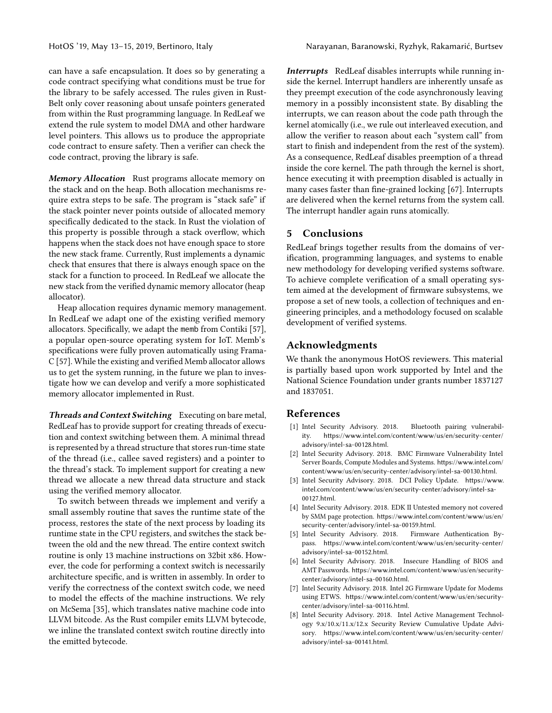can have a safe encapsulation. It does so by generating a code contract specifying what conditions must be true for the library to be safely accessed. The rules given in Rust-Belt only cover reasoning about unsafe pointers generated from within the Rust programming language. In RedLeaf we extend the rule system to model DMA and other hardware level pointers. This allows us to produce the appropriate code contract to ensure safety. Then a verifier can check the code contract, proving the library is safe.

Memory Allocation Rust programs allocate memory on the stack and on the heap. Both allocation mechanisms require extra steps to be safe. The program is "stack safe" if the stack pointer never points outside of allocated memory specifically dedicated to the stack. In Rust the violation of this property is possible through a stack overflow, which happens when the stack does not have enough space to store the new stack frame. Currently, Rust implements a dynamic check that ensures that there is always enough space on the stack for a function to proceed. In RedLeaf we allocate the new stack from the verified dynamic memory allocator (heap allocator).

Heap allocation requires dynamic memory management. In RedLeaf we adapt one of the existing verified memory allocators. Specifically, we adapt the memb from Contiki [\[57\]](#page-7-25), a popular open-source operating system for IoT. Memb's specifications were fully proven automatically using Frama-C [\[57\]](#page-7-25). While the existing and verified Memb allocator allows us to get the system running, in the future we plan to investigate how we can develop and verify a more sophisticated memory allocator implemented in Rust.

Threads and Context Switching Executing on bare metal, RedLeaf has to provide support for creating threads of execution and context switching between them. A minimal thread is represented by a thread structure that stores run-time state of the thread (i.e., callee saved registers) and a pointer to the thread's stack. To implement support for creating a new thread we allocate a new thread data structure and stack using the verified memory allocator.

To switch between threads we implement and verify a small assembly routine that saves the runtime state of the process, restores the state of the next process by loading its runtime state in the CPU registers, and switches the stack between the old and the new thread. The entire context switch routine is only 13 machine instructions on 32bit x86. However, the code for performing a context switch is necessarily architecture specific, and is written in assembly. In order to verify the correctness of the context switch code, we need to model the effects of the machine instructions. We rely on McSema [\[35\]](#page-6-28), which translates native machine code into LLVM bitcode. As the Rust compiler emits LLVM bytecode, we inline the translated context switch routine directly into the emitted bytecode.

Interrupts RedLeaf disables interrupts while running inside the kernel. Interrupt handlers are inherently unsafe as they preempt execution of the code asynchronously leaving memory in a possibly inconsistent state. By disabling the interrupts, we can reason about the code path through the kernel atomically (i.e., we rule out interleaved execution, and allow the verifier to reason about each "system call" from start to finish and independent from the rest of the system). As a consequence, RedLeaf disables preemption of a thread inside the core kernel. The path through the kernel is short, hence executing it with preemption disabled is actually in many cases faster than fine-grained locking [\[67\]](#page-7-26). Interrupts are delivered when the kernel returns from the system call. The interrupt handler again runs atomically.

#### 5 Conclusions

RedLeaf brings together results from the domains of verification, programming languages, and systems to enable new methodology for developing verified systems software. To achieve complete verification of a small operating system aimed at the development of firmware subsystems, we propose a set of new tools, a collection of techniques and engineering principles, and a methodology focused on scalable development of verified systems.

#### Acknowledgments

We thank the anonymous HotOS reviewers. This material is partially based upon work supported by Intel and the National Science Foundation under grants number 1837127 and 1837051.

# References

- <span id="page-5-0"></span>[1] Intel Security Advisory. 2018. Bluetooth pairing vulnerability. [https://www.intel.com/content/www/us/en/security-center/](https://www.intel.com/content/www/us/en/security-center/advisory/intel-sa-00128.html) [advisory/intel-sa-00128.html](https://www.intel.com/content/www/us/en/security-center/advisory/intel-sa-00128.html).
- [2] Intel Security Advisory. 2018. BMC Firmware Vulnerability Intel Server Boards, Compute Modules and Systems. [https://www.intel.com/](https://www.intel.com/content/www/us/en/security-center/advisory/intel-sa-00130.html) [content/www/us/en/security-center/advisory/intel-sa-00130.html](https://www.intel.com/content/www/us/en/security-center/advisory/intel-sa-00130.html).
- [3] Intel Security Advisory. 2018. DCI Policy Update. [https://www.](https://www.intel.com/content/www/us/en/security-center/advisory/intel-sa-00127.html) [intel.com/content/www/us/en/security-center/advisory/intel-sa-](https://www.intel.com/content/www/us/en/security-center/advisory/intel-sa-00127.html)[00127.html](https://www.intel.com/content/www/us/en/security-center/advisory/intel-sa-00127.html).
- [4] Intel Security Advisory. 2018. EDK II Untested memory not covered by SMM page protection. [https://www.intel.com/content/www/us/en/](https://www.intel.com/content/www/us/en/security-center/advisory/intel-sa-00159.html) [security-center/advisory/intel-sa-00159.html](https://www.intel.com/content/www/us/en/security-center/advisory/intel-sa-00159.html).
- [5] Intel Security Advisory. 2018. Firmware Authentication Bypass. [https://www.intel.com/content/www/us/en/security-center/](https://www.intel.com/content/www/us/en/security-center/advisory/intel-sa-00152.html) [advisory/intel-sa-00152.html](https://www.intel.com/content/www/us/en/security-center/advisory/intel-sa-00152.html).
- [6] Intel Security Advisory. 2018. Insecure Handling of BIOS and AMT Passwords. [https://www.intel.com/content/www/us/en/security](https://www.intel.com/content/www/us/en/security-center/advisory/intel-sa-00160.html)[center/advisory/intel-sa-00160.html](https://www.intel.com/content/www/us/en/security-center/advisory/intel-sa-00160.html).
- [7] Intel Security Advisory. 2018. Intel 2G Firmware Update for Modems using ETWS. [https://www.intel.com/content/www/us/en/security](https://www.intel.com/content/www/us/en/security-center/advisory/intel-sa-00116.html)[center/advisory/intel-sa-00116.html](https://www.intel.com/content/www/us/en/security-center/advisory/intel-sa-00116.html).
- [8] Intel Security Advisory. 2018. Intel Active Management Technology 9.x/10.x/11.x/12.x Security Review Cumulative Update Advisory. [https://www.intel.com/content/www/us/en/security-center/](https://www.intel.com/content/www/us/en/security-center/advisory/intel-sa-00141.html) [advisory/intel-sa-00141.html](https://www.intel.com/content/www/us/en/security-center/advisory/intel-sa-00141.html).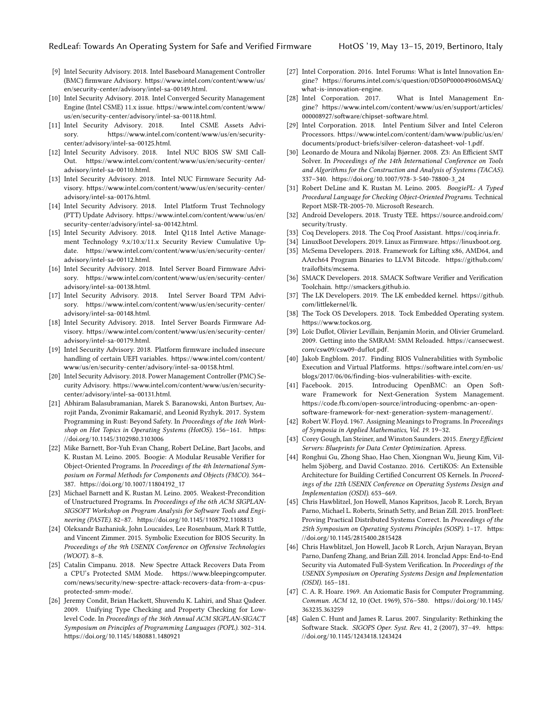- [9] Intel Security Advisory. 2018. Intel Baseboard Management Controller (BMC) firmware Advisory. [https://www.intel.com/content/www/us/](https://www.intel.com/content/www/us/en/security-center/advisory/intel-sa-00149.html) [en/security-center/advisory/intel-sa-00149.html](https://www.intel.com/content/www/us/en/security-center/advisory/intel-sa-00149.html).
- [10] Intel Security Advisory. 2018. Intel Converged Security Management Engine (Intel CSME) 11.x issue. [https://www.intel.com/content/www/](https://www.intel.com/content/www/us/en/security-center/advisory/intel-sa-00118.html) [us/en/security-center/advisory/intel-sa-00118.html](https://www.intel.com/content/www/us/en/security-center/advisory/intel-sa-00118.html).
- [11] Intel Security Advisory. 2018. Intel CSME Assets Advisory. [https://www.intel.com/content/www/us/en/security](https://www.intel.com/content/www/us/en/security-center/advisory/intel-sa-00125.html)[center/advisory/intel-sa-00125.html](https://www.intel.com/content/www/us/en/security-center/advisory/intel-sa-00125.html).
- [12] Intel Security Advisory. 2018. Intel NUC BIOS SW SMI Call-Out. [https://www.intel.com/content/www/us/en/security-center/](https://www.intel.com/content/www/us/en/security-center/advisory/intel-sa-00110.html) [advisory/intel-sa-00110.html](https://www.intel.com/content/www/us/en/security-center/advisory/intel-sa-00110.html).
- [13] Intel Security Advisory. 2018. Intel NUC Firmware Security Advisory. [https://www.intel.com/content/www/us/en/security-center/](https://www.intel.com/content/www/us/en/security-center/advisory/intel-sa-00176.html) [advisory/intel-sa-00176.html](https://www.intel.com/content/www/us/en/security-center/advisory/intel-sa-00176.html).
- [14] Intel Security Advisory. 2018. Intel Platform Trust Technology (PTT) Update Advisory. [https://www.intel.com/content/www/us/en/](https://www.intel.com/content/www/us/en/security-center/advisory/intel-sa-00142.html) [security-center/advisory/intel-sa-00142.html](https://www.intel.com/content/www/us/en/security-center/advisory/intel-sa-00142.html).
- [15] Intel Security Advisory. 2018. Intel Q118 Intel Active Management Technology 9.x/10.x/11.x Security Review Cumulative Update. [https://www.intel.com/content/www/us/en/security-center/](https://www.intel.com/content/www/us/en/security-center/advisory/intel-sa-00112.html) [advisory/intel-sa-00112.html](https://www.intel.com/content/www/us/en/security-center/advisory/intel-sa-00112.html).
- [16] Intel Security Advisory. 2018. Intel Server Board Firmware Advisory. [https://www.intel.com/content/www/us/en/security-center/](https://www.intel.com/content/www/us/en/security-center/advisory/intel-sa-00138.html) [advisory/intel-sa-00138.html](https://www.intel.com/content/www/us/en/security-center/advisory/intel-sa-00138.html).
- [17] Intel Security Advisory. 2018. Intel Server Board TPM Advisory. [https://www.intel.com/content/www/us/en/security-center/](https://www.intel.com/content/www/us/en/security-center/advisory/intel-sa-00148.html) [advisory/intel-sa-00148.html](https://www.intel.com/content/www/us/en/security-center/advisory/intel-sa-00148.html).
- [18] Intel Security Advisory. 2018. Intel Server Boards Firmware Advisory. [https://www.intel.com/content/www/us/en/security-center/](https://www.intel.com/content/www/us/en/security-center/advisory/intel-sa-00179.html) [advisory/intel-sa-00179.html](https://www.intel.com/content/www/us/en/security-center/advisory/intel-sa-00179.html).
- [19] Intel Security Advisory. 2018. Platform firmware included insecure handling of certain UEFI variables. [https://www.intel.com/content/](https://www.intel.com/content/www/us/en/security-center/advisory/intel-sa-00158.html) [www/us/en/security-center/advisory/intel-sa-00158.html](https://www.intel.com/content/www/us/en/security-center/advisory/intel-sa-00158.html).
- <span id="page-6-8"></span>[20] Intel Security Advisory. 2018. Power Management Controller (PMC) Security Advisory. [https://www.intel.com/content/www/us/en/security](https://www.intel.com/content/www/us/en/security-center/advisory/intel-sa-00131.html)[center/advisory/intel-sa-00131.html](https://www.intel.com/content/www/us/en/security-center/advisory/intel-sa-00131.html).
- <span id="page-6-19"></span>[21] Abhiram Balasubramanian, Marek S. Baranowski, Anton Burtsev, Aurojit Panda, Zvonimir Rakamarić, and Leonid Ryzhyk. 2017. System Programming in Rust: Beyond Safety. In Proceedings of the 16th Workshop on Hot Topics in Operating Systems (HotOS). 156–161. [https:](https://doi.org/10.1145/3102980.3103006) [//doi.org/10.1145/3102980.3103006](https://doi.org/10.1145/3102980.3103006)
- <span id="page-6-25"></span>[22] Mike Barnett, Bor-Yuh Evan Chang, Robert DeLine, Bart Jacobs, and K. Rustan M. Leino. 2005. Boogie: A Modular Reusable Verifier for Object-Oriented Programs. In Proceedings of the 4th International Symposium on Formal Methods for Components and Objects (FMCO). 364– 387. [https://doi.org/10.1007/11804192\\_17](https://doi.org/10.1007/11804192_17)
- <span id="page-6-26"></span>[23] Michael Barnett and K. Rustan M. Leino. 2005. Weakest-Precondition of Unstructured Programs. In Proceedings of the 6th ACM SIGPLAN-SIGSOFT Workshop on Program Analysis for Software Tools and Engineering (PASTE). 82–87. <https://doi.org/10.1145/1108792.1108813>
- <span id="page-6-4"></span>[24] Oleksandr Bazhaniuk, John Loucaides, Lee Rosenbaum, Mark R Tuttle, and Vincent Zimmer. 2015. Symbolic Execution for BIOS Security. In Proceedings of the 9th USENIX Conference on Offensive Technologies (WOOT). 8–8.
- <span id="page-6-6"></span>[25] Catalin Cimpanu. 2018. New Spectre Attack Recovers Data From a CPU's Protected SMM Mode. [https://www.bleepingcomputer.](https://www.bleepingcomputer.com/news/security/new-spectre-attack-recovers-data-from-a-cpus-protected-smm-mode/) [com/news/security/new-spectre-attack-recovers-data-from-a-cpus](https://www.bleepingcomputer.com/news/security/new-spectre-attack-recovers-data-from-a-cpus-protected-smm-mode/)[protected-smm-mode/](https://www.bleepingcomputer.com/news/security/new-spectre-attack-recovers-data-from-a-cpus-protected-smm-mode/).
- <span id="page-6-24"></span>[26] Jeremy Condit, Brian Hackett, Shuvendu K. Lahiri, and Shaz Qadeer. 2009. Unifying Type Checking and Property Checking for Lowlevel Code. In Proceedings of the 36th Annual ACM SIGPLAN-SIGACT Symposium on Principles of Programming Languages (POPL). 302–314. <https://doi.org/10.1145/1480881.1480921>
- <span id="page-6-1"></span>[27] Intel Corporation. 2016. Intel Forums: What is Intel Innovation Engine? [https://forums.intel.com/s/question/0D50P000049060MSAQ/](https://forums.intel.com/s/question/0D50P000049060MSAQ/what-is-innovation-engine) [what-is-innovation-engine](https://forums.intel.com/s/question/0D50P000049060MSAQ/what-is-innovation-engine).
- <span id="page-6-0"></span>[28] Intel Corporation. 2017. What is Intel Management Engine? [https://www.intel.com/content/www/us/en/support/articles/](https://www.intel.com/content/www/us/en/support/articles/000008927/software/chipset-software.html) [000008927/software/chipset-software.html](https://www.intel.com/content/www/us/en/support/articles/000008927/software/chipset-software.html).
- <span id="page-6-3"></span>[29] Intel Corporation. 2018. Intel Pentium Silver and Intel Celeron Processors. [https://www.intel.com/content/dam/www/public/us/en/](https://www.intel.com/content/dam/www/public/us/en/documents/product-briefs/silver-celeron-datasheet-vol-1.pdf) [documents/product-briefs/silver-celeron-datasheet-vol-1.pdf](https://www.intel.com/content/dam/www/public/us/en/documents/product-briefs/silver-celeron-datasheet-vol-1.pdf).
- <span id="page-6-13"></span>[30] Leonardo de Moura and Nikolaj Bjørner. 2008. Z3: An Efficient SMT Solver. In Proceedings of the 14th International Conference on Tools and Algorithms for the Construction and Analysis of Systems (TACAS). 337–340. [https://doi.org/10.1007/978-3-540-78800-3\\_24](https://doi.org/10.1007/978-3-540-78800-3_24)
- <span id="page-6-12"></span>[31] Robert DeLine and K. Rustan M. Leino. 2005. BoogiePL: A Typed Procedural Language for Checking Object-Oriented Programs. Technical Report MSR-TR-2005-70. Microsoft Research.
- <span id="page-6-15"></span>[32] Android Developers. 2018. Trusty TEE. [https://source.android.com/](https://source.android.com/security/trusty) [security/trusty](https://source.android.com/security/trusty).
- <span id="page-6-23"></span>[33] Coq Developers. 2018. The Coq Proof Assistant. <https://coq.inria.fr>.
- <span id="page-6-17"></span>[34] LinuxBoot Developers. 2019. Linux as Firmware. <https://linuxboot.org>.
- <span id="page-6-28"></span>[35] McSema Developers. 2018. Framework for Lifting x86, AMD64, and AArch64 Program Binaries to LLVM Bitcode. [https://github.com/](https://github.com/trailofbits/mcsema) [trailofbits/mcsema](https://github.com/trailofbits/mcsema).
- <span id="page-6-11"></span>[36] SMACK Developers. 2018. SMACK Software Verifier and Verification Toolchain. <http://smackers.github.io>.
- <span id="page-6-16"></span>[37] The LK Developers. 2019. The LK embedded kernel. [https://github.](https://github.com/littlekernel/lk) [com/littlekernel/lk](https://github.com/littlekernel/lk).
- <span id="page-6-27"></span>[38] The Tock OS Developers. 2018. Tock Embedded Operating system. <https://www.tockos.org>.
- <span id="page-6-7"></span>[39] Loïc Duflot, Olivier Levillain, Benjamin Morin, and Olivier Grumelard. 2009. Getting into the SMRAM: SMM Reloaded. [https://cansecwest.](https://cansecwest.com/csw09/csw09-duflot.pdf) [com/csw09/csw09-duflot.pdf](https://cansecwest.com/csw09/csw09-duflot.pdf).
- <span id="page-6-5"></span>[40] Jakob Engblom. 2017. Finding BIOS Vulnerabilities with Symbolic Execution and Virtual Platforms. [https://software.intel.com/en-us/](https://software.intel.com/en-us/blogs/2017/06/06/finding-bios-vulnerabilities-with-excite) [blogs/2017/06/06/finding-bios-vulnerabilities-with-excite](https://software.intel.com/en-us/blogs/2017/06/06/finding-bios-vulnerabilities-with-excite).
- <span id="page-6-18"></span>[41] Facebook. 2015. Introducing OpenBMC: an Open Software Framework for Next-Generation System Management. [https://code.fb.com/open-source/introducing-openbmc-an-open](https://code.fb.com/open-source/introducing-openbmc-an-open-software-framework-for-next-generation-system-management/)[software-framework-for-next-generation-system-management/](https://code.fb.com/open-source/introducing-openbmc-an-open-software-framework-for-next-generation-system-management/).
- <span id="page-6-9"></span>[42] Robert W. Floyd. 1967. Assigning Meanings to Programs. In Proceedings of Symposia in Applied Mathematics, Vol. 19. 19–32.
- <span id="page-6-2"></span>[43] Corey Gough, Ian Steiner, and Winston Saunders. 2015. Energy Efficient Servers: Blueprints for Data Center Optimization. Apress.
- <span id="page-6-22"></span>[44] Ronghui Gu, Zhong Shao, Hao Chen, Xiongnan Wu, Jieung Kim, Vilhelm Sjöberg, and David Costanzo. 2016. CertiKOS: An Extensible Architecture for Building Certified Concurrent OS Kernels. In Proceedings of the 12th USENIX Conference on Operating Systems Design and Implementation (OSDI). 653–669.
- <span id="page-6-21"></span>[45] Chris Hawblitzel, Jon Howell, Manos Kapritsos, Jacob R. Lorch, Bryan Parno, Michael L. Roberts, Srinath Setty, and Brian Zill. 2015. IronFleet: Proving Practical Distributed Systems Correct. In Proceedings of the 25th Symposium on Operating Systems Principles (SOSP). 1–17. [https:](https://doi.org/10.1145/2815400.2815428) [//doi.org/10.1145/2815400.2815428](https://doi.org/10.1145/2815400.2815428)
- <span id="page-6-14"></span>[46] Chris Hawblitzel, Jon Howell, Jacob R Lorch, Arjun Narayan, Bryan Parno, Danfeng Zhang, and Brian Zill. 2014. Ironclad Apps: End-to-End Security via Automated Full-System Verification. In Proceedings of the USENIX Symposium on Operating Systems Design and Implementation (OSDI). 165–181.
- <span id="page-6-10"></span>[47] C. A. R. Hoare. 1969. An Axiomatic Basis for Computer Programming. Commun. ACM 12, 10 (Oct. 1969), 576–580. [https://doi.org/10.1145/](https://doi.org/10.1145/363235.363259) [363235.363259](https://doi.org/10.1145/363235.363259)
- <span id="page-6-20"></span>[48] Galen C. Hunt and James R. Larus. 2007. Singularity: Rethinking the Software Stack. SIGOPS Oper. Syst. Rev. 41, 2 (2007), 37–49. [https:](https://doi.org/10.1145/1243418.1243424) [//doi.org/10.1145/1243418.1243424](https://doi.org/10.1145/1243418.1243424)